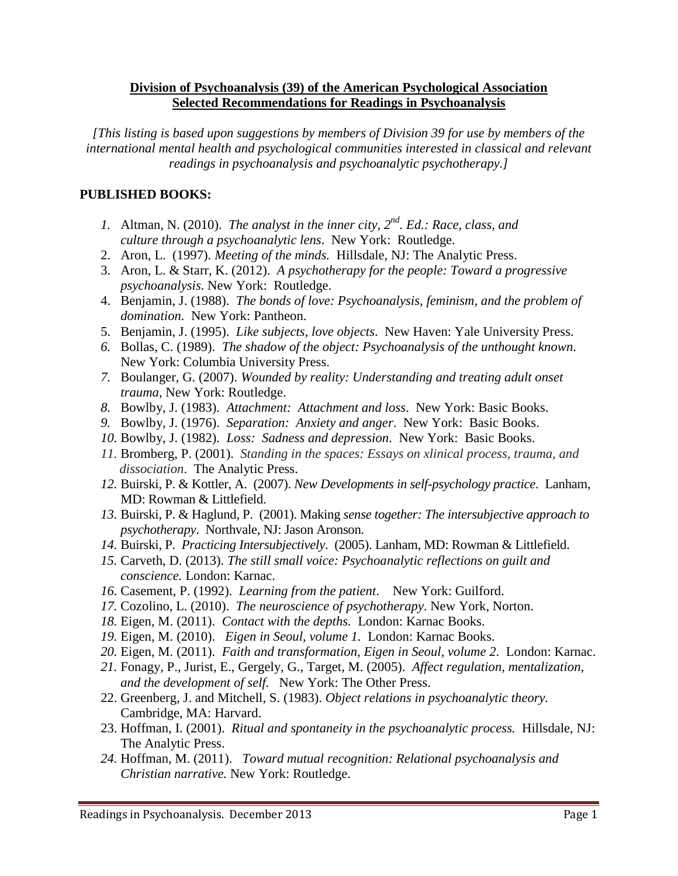## **Division of Psychoanalysis (39) of the American Psychological Association Selected Recommendations for Readings in Psychoanalysis**

*[This listing is based upon suggestions by members of Division 39 for use by members of the international mental health and psychological communities interested in classical and relevant readings in psychoanalysis and psychoanalytic psychotherapy.]*

## **PUBLISHED BOOKS:**

- *1.* Altman, N. (2010). *The analyst in the inner city, 2nd. Ed.: Race, class, and culture through a psychoanalytic lens*. New York: Routledge.
- 2. Aron, L. (1997). *Meeting of the minds.* Hillsdale, NJ: The Analytic Press.
- 3. Aron, L. & Starr, K. (2012). *A psychotherapy for the people: Toward a progressive psychoanalysis*. New York: Routledge.
- 4. Benjamin, J. (1988). *The bonds of love: Psychoanalysis, feminism, and the problem of domination.* New York: Pantheon.
- 5. Benjamin, J. (1995). *Like subjects, love objects*. New Haven: Yale University Press.
- *6.* Bollas, C. (1989). *The shadow of the object: Psychoanalysis of the unthought known*. New York: Columbia University Press.
- *7.* Boulanger, G. (2007). *Wounded by reality: Understanding and treating adult onset trauma*, New York: Routledge.
- *8.* Bowlby, J. (1983). *Attachment: Attachment and loss*. New York: Basic Books.
- *9.* Bowlby, J. (1976). *Separation: Anxiety and anger*. New York: Basic Books.
- *10.* Bowlby, J. (1982). *Loss: Sadness and depression*. New York: Basic Books.
- *11.* Bromberg, P. (2001). *Standing in the spaces: Essays on xlinical process, trauma, and dissociation*. The Analytic Press.
- *12.* Buirski, P. & Kottler, A. (2007). *New Developments in self-psychology practice*. Lanham, MD: Rowman & Littlefield.
- *13.* Buirski, P. & Haglund, P. (2001). Making *sense together: The intersubjective approach to psychotherapy*. Northvale, NJ: Jason Aronson.
- *14.* Buirski, P. *Practicing Intersubjectively*. (2005). Lanham, MD: Rowman & Littlefield.
- *15.* Carveth, D. (2013). *The still small voice: Psychoanalytic reflections on guilt and conscience.* London: Karnac.
- *16.* Casement, P. (1992). *Learning from the patient*. New York: Guilford.
- *17.* Cozolino, L. (2010). *The neuroscience of psychotherapy*. New York, Norton.
- *18.* Eigen, M. (2011). *Contact with the depths.* London: Karnac Books.
- *19.* Eigen, M. (2010). *Eigen in Seoul, volume 1.* London: Karnac Books.
- *20.* Eigen, M. (2011). *Faith and transformation, Eigen in Seoul, volume 2*. London: Karnac.
- *21.* Fonagy, P., Jurist, E., Gergely, G., Target, M. (2005). *Affect regulation, mentalization, and the development of self.* New York: The Other Press.
- 22. Greenberg, J. and Mitchell, S. (1983). *Object relations in psychoanalytic theory.*  Cambridge, MA: Harvard.
- 23. Hoffman, I. (2001). *Ritual and spontaneity in the psychoanalytic process.* Hillsdale, NJ: The Analytic Press.
- *24.* Hoffman, M. (2011). *Toward mutual recognition: Relational psychoanalysis and Christian narrative.* New York: Routledge.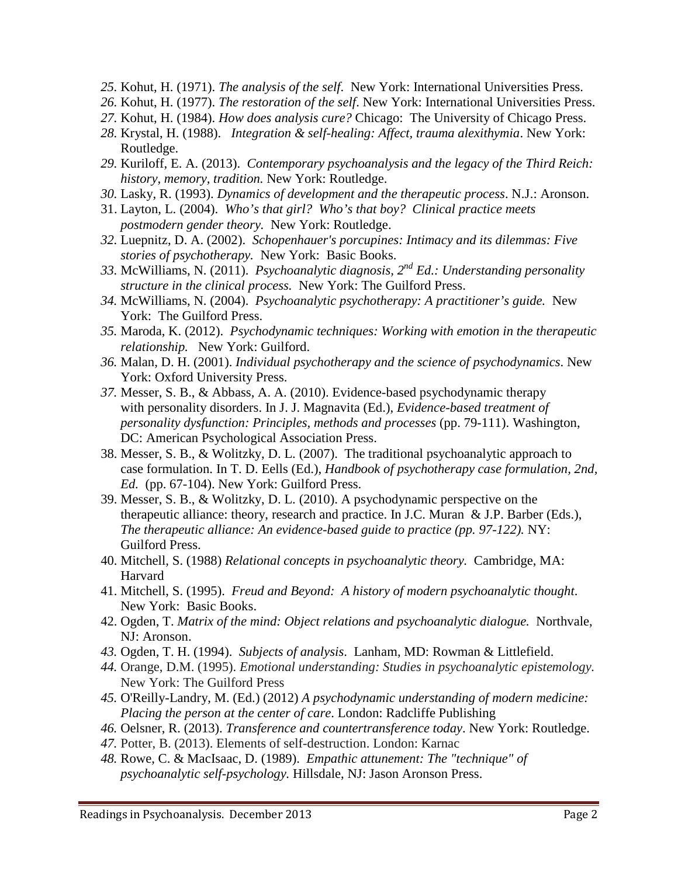- *25.* Kohut, H. (1971). *The analysis of the self*. New York: International Universities Press.
- *26.* Kohut, H. (1977). *The restoration of the self*. New York: International Universities Press.
- *27.* Kohut, H. (1984). *How does analysis cure?* Chicago: The University of Chicago Press.
- *28.* Krystal, H. (1988). *Integration & self-healing: Affect, trauma alexithymia*. New York: Routledge.
- *29.* Kuriloff, E. A. (2013). *Contemporary psychoanalysis and the legacy of the Third Reich: history, memory, tradition.* New York: Routledge.
- *30.* Lasky, R. (1993). *Dynamics of development and the therapeutic process*. N.J.: Aronson.
- 31. Layton, L. (2004). *Who's that girl? Who's that boy? Clinical practice meets postmodern gender theory.* New York: Routledge.
- *32.* Luepnitz, D. A. (2002). *Schopenhauer's porcupines: Intimacy and its dilemmas: Five stories of psychotherapy.* New York: Basic Books.
- *33.* McWilliams, N. (2011).*[Psychoanalytic diagnosis, 2nd](http://www.amazon.com/Psychoanalytic-Diagnosis-Second-Understanding-Personality/dp/1609184947/ref=sr_1_1?s=books&ie=UTF8&qid=1374337701&sr=1-1&keywords=nancy+mcwilliams) Ed.: Understanding personality [structure in the clinical process.](http://www.amazon.com/Psychoanalytic-Diagnosis-Second-Understanding-Personality/dp/1609184947/ref=sr_1_1?s=books&ie=UTF8&qid=1374337701&sr=1-1&keywords=nancy+mcwilliams)* New York: The Guilford Press.
- *34.* McWilliams, N. (2004). *Psychoanalytic psychotherapy: A practitioner's guide.* New York: The Guilford Press.
- *35.* Maroda, K. (2012). *Psychodynamic techniques: Working with emotion in the therapeutic relationship.* New York: Guilford.
- *36.* Malan, D. H. (2001). *Individual psychotherapy and the science of psychodynamics*. New York: Oxford University Press.
- *37.* Messer, S. B., & Abbass, A. A. (2010). Evidence-based psychodynamic therapy with personality disorders. In J. J. Magnavita (Ed.), *Evidence-based treatment of personality dysfunction: Principles, methods and processes* (pp. 79-111). Washington, DC: American Psychological Association Press.
- 38. Messer, S. B., & Wolitzky, D. L. (2007). The traditional psychoanalytic approach to case formulation. In T. D. Eells (Ed.), *Handbook of psychotherapy case formulation, 2nd, Ed.* (pp. 67-104). New York: Guilford Press.
- 39. Messer, S. B., & Wolitzky, D. L. (2010). A psychodynamic perspective on the therapeutic alliance: theory, research and practice. In J.C. Muran & J.P. Barber (Eds.), *The therapeutic alliance: An evidence-based guide to practice (pp. 97-122).* NY: Guilford Press.
- 40. Mitchell, S. (1988) *Relational concepts in psychoanalytic theory.* Cambridge, MA: Harvard
- 41. Mitchell, S. (1995). *Freud and Beyond: A history of modern psychoanalytic thought*. New York: Basic Books.
- 42. Ogden, T. *Matrix of the mind: Object relations and psychoanalytic dialogue.* Northvale, NJ: Aronson.
- *43.* Ogden, T. H. (1994). *Subjects of analysis*. Lanham, MD: Rowman & Littlefield.
- *44.* Orange, D.M. (1995). *Emotional understanding: Studies in psychoanalytic epistemology.* New York: The Guilford Press
- *45.* O'Reilly-Landry, M. (Ed.) (2012) *A psychodynamic understanding of modern medicine: Placing the person at the center of care*. London: Radcliffe Publishing
- *46.* Oelsner, R. (2013). *Transference and countertransference today*. New York: Routledge.
- *47.* Potter, B. (2013). Elements of self-destruction. London: Karnac
- *48.* Rowe, C. & MacIsaac, D. (1989). *Empathic attunement: The "technique" of psychoanalytic self-psychology.* Hillsdale, NJ: Jason Aronson Press.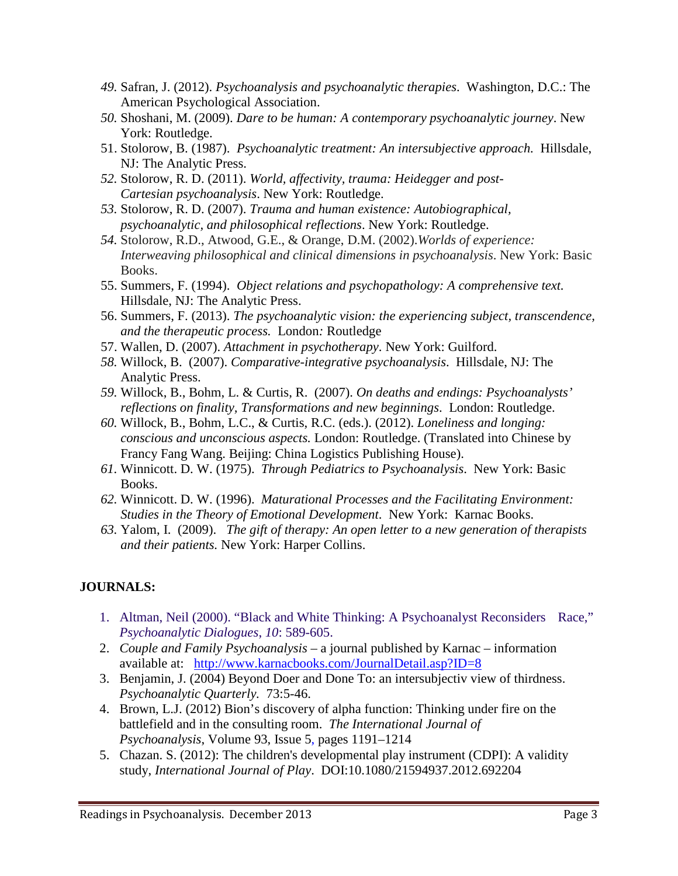- *49.* Safran, J. (2012). *Psychoanalysis and psychoanalytic therapies*. Washington, D.C.: The American Psychological Association.
- *50.* Shoshani, M. (2009). *Dare to be human: A contemporary psychoanalytic journey*. New York: Routledge.
- 51. Stolorow, B. (1987). *Psychoanalytic treatment: An intersubjective approach.* Hillsdale, NJ: The Analytic Press.
- *52.* Stolorow, R. D. (2011). *World, affectivity, trauma: Heidegger and post-Cartesian psychoanalysis*. New York: Routledge.
- *53.* Stolorow, R. D. (2007). *Trauma and human existence: Autobiographical, psychoanalytic, and philosophical reflections*. New York: Routledge.
- *54.* Stolorow, R.D., Atwood, G.E., & Orange, D.M. (2002).*Worlds of experience: Interweaving philosophical and clinical dimensions in psychoanalysis*. New York: Basic Books.
- 55. Summers, F. (1994). *Object relations and psychopathology: A comprehensive text.*  Hillsdale, NJ: The Analytic Press.
- 56. Summers, F. (2013). *The psychoanalytic vision: the experiencing subject, transcendence, and the therapeutic process.* London*:* Routledge
- 57. Wallen, D. (2007). *Attachment in psychotherapy*. New York: Guilford.
- *58.* Willock, B. (2007). *Comparative-integrative psychoanalysis*. Hillsdale, NJ: The Analytic Press.
- *59.* Willock, B., Bohm, L. & Curtis, R. (2007). *On deaths and endings: Psychoanalysts' reflections on finality, Transformations and new beginnings*. London: Routledge.
- *60.* Willock, B., Bohm, L.C., & Curtis, R.C. (eds.). (2012). *Loneliness and longing: conscious and unconscious aspects.* London: Routledge. (Translated into Chinese by Francy Fang Wang. Beijing: China Logistics Publishing House).
- *61.* Winnicott. D. W. (1975). *Through Pediatrics to Psychoanalysis*. New York: Basic Books.
- *62.* Winnicott. D. W. (1996). *Maturational Processes and the Facilitating Environment: Studies in the Theory of Emotional Development*. New York: Karnac Books.
- *63.* Yalom, I. (2009). *The gift of therapy: An open letter to a new generation of therapists and their patients.* New York: Harper Collins.

## **JOURNALS:**

- 1. Altman, Neil (2000). "Black and White Thinking: A Psychoanalyst Reconsiders Race," *Psychoanalytic Dialogues*, *10*: 589-605.
- 2. *Couple and Family Psychoanalysis* a journal published by Karnac information available at: <http://www.karnacbooks.com/JournalDetail.asp?ID=8>
- 3. Benjamin, J. (2004) Beyond Doer and Done To: an intersubjectiv view of thirdness. *Psychoanalytic Quarterly.* 73:5-46.
- 4. Brown, L.J. (2012) Bion's discovery of alpha function: Thinking under fire on the battlefield and in the consulting room. *The International Journal of Psychoanalysis*, [Volume](http://onlinelibrary.wiley.com/doi/10.1111/ijp.2012.93.issue-5/issuetoc) 93, Issue 5, pages 1191–1214
- 5. Chazan. S. (2012): The children's developmental play instrument (CDPI): A validity study, *International Journal of Play*. DOI:10.1080/21594937.2012.692204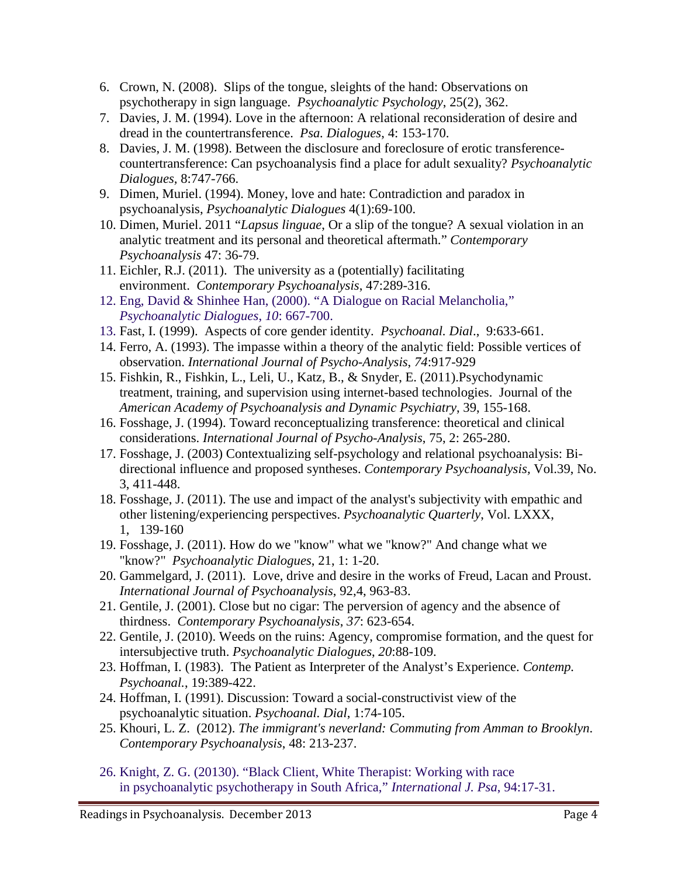- 6. Crown, N. (2008). Slips of the tongue, sleights of the hand: Observations on psychotherapy in sign language. *Psychoanalytic Psychology*, 25(2), 362.
- 7. Davies, J. M. (1994). Love in the afternoon: A relational reconsideration of desire and dread in the countertransference. *Psa. Dialogues*, 4: 153-170.
- 8. Davies, J. M. (1998). Between the disclosure and foreclosure of erotic transferencecountertransference: Can psychoanalysis find a place for adult sexuality? *Psychoanalytic Dialogues,* 8:747-766.
- 9. Dimen, Muriel. (1994). Money, love and hate: Contradiction and paradox in psychoanalysis, *Psychoanalytic Dialogues* 4(1):69-100.
- 10. Dimen, Muriel. 2011 "*Lapsus linguae*, Or a slip of the tongue? A sexual violation in an analytic treatment and its personal and theoretical aftermath." *Contemporary Psychoanalysis* 47: 36-79.
- 11. Eichler, R.J. (2011). The university as a (potentially) facilitating environment. *Contemporary Psychoanalysis*, 47:289-316.
- 12. Eng, David & Shinhee Han, (2000). "A Dialogue on Racial Melancholia," *Psychoanalytic Dialogues*, *10*: 667-700.
- 13. Fast, I. (1999). Aspects of core gender identity. *Psychoanal. Dial*., 9:633-661.
- 14. Ferro, A. (1993). The impasse within a theory of the analytic field: Possible vertices of observation. *International Journal of Psycho-Analysis*, *74*:917-929
- 15. Fishkin, R., Fishkin, L., Leli, U., Katz, B., & Snyder, E. (2011).Psychodynamic treatment, training, and supervision using internet-based technologies. Journal of the *American Academy of Psychoanalysis and Dynamic Psychiatry*, 39, 155-168.
- 16. Fosshage, J. (1994). Toward reconceptualizing transference: theoretical and clinical considerations. *International Journal of Psycho-Analysis*, 75, 2: 265-280.
- 17. Fosshage, J. (2003) Contextualizing self-psychology and relational psychoanalysis: Bidirectional influence and proposed syntheses. *Contemporary Psychoanalysis,* Vol.39, No. 3, 411-448.
- 18. Fosshage, J. (2011). The use and impact of the analyst's subjectivity with empathic and other listening/experiencing perspectives. *Psychoanalytic Quarterly*, Vol. LXXX, 1, 139-160
- 19. Fosshage, J. (2011). How do we "know" what we "know?" And change what we "know?" *Psychoanalytic Dialogues*, 21, 1: 1-20.
- 20. Gammelgard, J. (2011). Love, drive and desire in the works of Freud, Lacan and Proust. *International Journal of Psychoanalysis*, 92,4, 963-83.
- 21. Gentile, J. (2001). Close but no cigar: The perversion of agency and the absence of thirdness. *Contemporary Psychoanalysis*, *37*: 623-654.
- 22. Gentile, J. (2010). Weeds on the ruins: Agency, compromise formation, and the quest for intersubjective truth. *Psychoanalytic Dialogues*, *20*:88-109.
- 23. Hoffman, I. (1983). The Patient as Interpreter of the Analyst's Experience. *Contemp. Psychoanal.*, 19:389-422.
- 24. Hoffman, I. (1991). Discussion: Toward a social-constructivist view of the psychoanalytic situation. *Psychoanal. Dial*, 1:74-105.
- 25. Khouri, L. Z. (2012). *The immigrant's neverland: Commuting from Amman to Brooklyn*. *Contemporary Psychoanalysis*, 48: 213-237.
- 26. Knight, Z. G. (20130). "Black Client, White Therapist: Working with race in psychoanalytic psychotherapy in South Africa," *International J. Psa*, 94:17-31.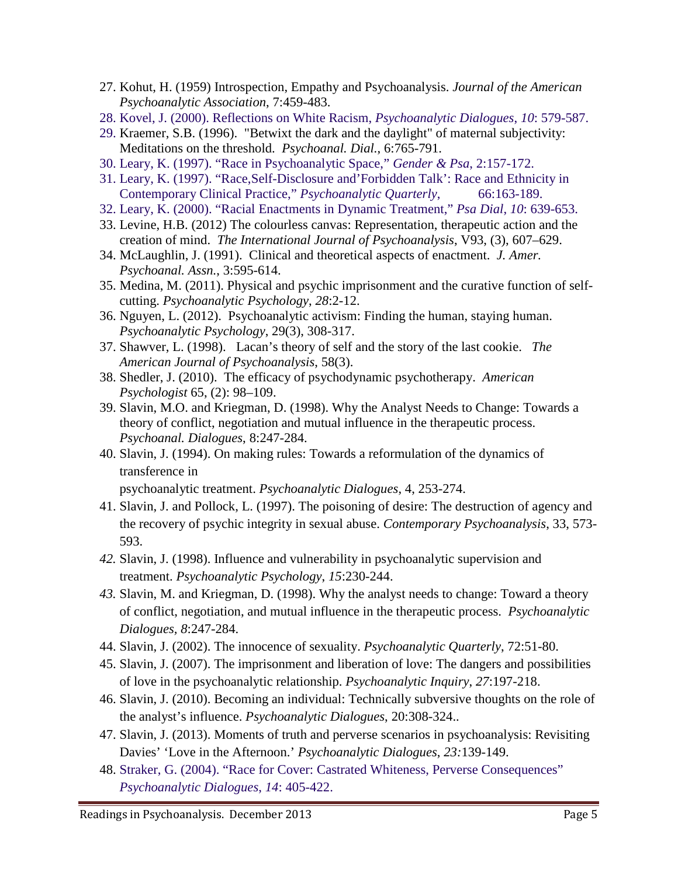- 27. Kohut, H. (1959) Introspection, Empathy and Psychoanalysis. *Journal of the American Psychoanalytic Association*, 7:459-483.
- 28. Kovel, J. (2000). Reflections on White Racism, *Psychoanalytic Dialogues*, *10*: 579-587.
- 29. Kraemer, S.B. (1996). "Betwixt the dark and the daylight" of maternal subjectivity: Meditations on the threshold. *Psychoanal. Dial.*, 6:765-791.
- 30. Leary, K. (1997). "Race in Psychoanalytic Space," *Gender & Psa*, 2:157-172.
- 31. Leary, K. (1997). "Race,Self-Disclosure and'Forbidden Talk': Race and Ethnicity in Contemporary Clinical Practice," *Psychoanalytic Quarterly*, 66:163-189.
- 32. Leary, K. (2000). "Racial Enactments in Dynamic Treatment," *Psa Dial*, *10*: 639-653.
- 33. Levine, H.B. (2012) The colourless canvas: Representation, therapeutic action and the creation of mind. *The International Journal of Psychoanalysis*, [V93,](http://onlinelibrary.wiley.com/doi/10.1111/ijp.2012.93.issue-3/issuetoc) (3), 607–629.
- 34. McLaughlin, J. (1991). Clinical and theoretical aspects of enactment. *J. Amer. Psychoanal. Assn.*, 3:595-614.
- 35. Medina, M. (2011). Physical and psychic imprisonment and the curative function of selfcutting. *Psychoanalytic Psychology*, *28*:2-12.
- 36. Nguyen, L. (2012). Psychoanalytic activism: Finding the human, staying human. *Psychoanalytic Psychology*, 29(3), 308-317.
- 37. Shawver, L. (1998). Lacan's theory of self and the story of the last cookie. *The American Journal of Psychoanalysis*, 58(3).
- 38. Shedler, J. (2010). The efficacy of psychodynamic psychotherapy. *American Psychologist* 65, (2): 98–109.
- 39. Slavin, M.O. and Kriegman, D. (1998). Why the Analyst Needs to Change: Towards a theory of conflict, negotiation and mutual influence in the therapeutic process. *Psychoanal. Dialogues*, 8:247-284.
- 40. Slavin, J. (1994). On making rules: Towards a reformulation of the dynamics of transference in

psychoanalytic treatment. *Psychoanalytic Dialogues*, 4, 253-274.

- 41. Slavin, J. and Pollock, L. (1997). The poisoning of desire: The destruction of agency and the recovery of psychic integrity in sexual abuse. *Contemporary Psychoanalysis*, 33, 573- 593.
- *42.* Slavin, J. (1998). Influence and vulnerability in psychoanalytic supervision and treatment. *Psychoanalytic Psychology*, *15*:230-244.
- *43.* Slavin, M. and Kriegman, D. (1998). Why the analyst needs to change: Toward a theory of conflict, negotiation, and mutual influence in the therapeutic process. *Psychoanalytic Dialogues, 8*:247-284.
- 44. Slavin, J. (2002). The innocence of sexuality. *Psychoanalytic Quarterly*, 72:51-80.
- 45. Slavin, J. (2007). The imprisonment and liberation of love: The dangers and possibilities of love in the psychoanalytic relationship. *Psychoanalytic Inquiry*, *27*:197-218.
- 46. Slavin, J. (2010). Becoming an individual: Technically subversive thoughts on the role of the analyst's influence. *Psychoanalytic Dialogues*, 20:308-324..
- 47. Slavin, J. (2013). Moments of truth and perverse scenarios in psychoanalysis: Revisiting Davies' 'Love in the Afternoon.' *Psychoanalytic Dialogues*, *23:*139-149.
- 48. Straker, G. (2004). "Race for Cover: Castrated Whiteness, Perverse Consequences" *Psychoanalytic Dialogues*, *14*: 405-422.